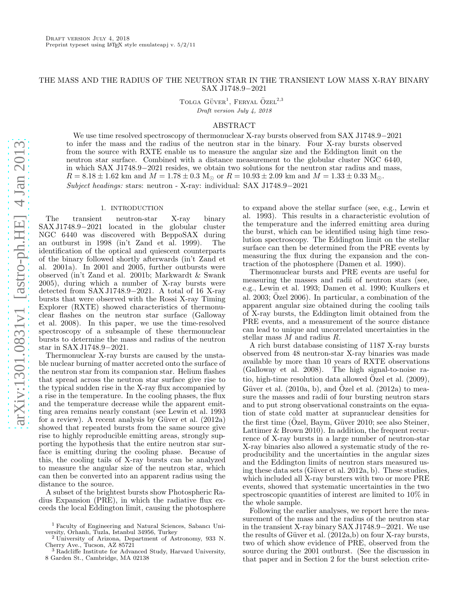# THE MASS AND THE RADIUS OF THE NEUTRON STAR IN THE TRANSIENT LOW MASS X-RAY BINARY SAX J1748.9−2021

TOLGA  $G\ddot{U}VER^1$ , FERYAL  $\ddot{O}ZEL^{2,3}$ Draft version July 4, 2018

# ABSTRACT

We use time resolved spectroscopy of thermonuclear X-ray bursts observed from SAX J1748.9−2021 to infer the mass and the radius of the neutron star in the binary. Four X-ray bursts observed from the source with RXTE enable us to measure the angular size and the Eddington limit on the neutron star surface. Combined with a distance measurement to the globular cluster NGC 6440, in which SAX J1748.9−2021 resides, we obtain two solutions for the neutron star radius and mass,  $R = 8.18 \pm 1.62$  km and  $M = 1.78 \pm 0.3$  M<sub>☉</sub> or  $R = 10.93 \pm 2.09$  km and  $M = 1.33 \pm 0.33$  M<sub>☉</sub>. Subject headings: stars: neutron - X-ray: individual: SAX J1748.9−2021

## 1. INTRODUCTION

The transient neutron-star X-ray binary SAX J1748.9−2021 located in the globular cluster NGC 6440 was discovered with BeppoSAX during an outburst in 1998 (in't Zand et al. 1999). The identification of the optical and quiescent counterparts of the binary followed shortly afterwards (in't Zand et al. 2001a). In 2001 and 2005, further outbursts were observed (in't Zand et al. 2001b; Markwardt & Swank 2005), during which a number of X-ray bursts were detected from SAX J1748.9−2021. A total of 16 X-ray bursts that were observed with the Rossi X-ray Timing Explorer (RXTE) showed characteristics of thermonuclear flashes on the neutron star surface (Galloway et al. 2008). In this paper, we use the time-resolved spectroscopy of a subsample of these thermonuclear bursts to determine the mass and radius of the neutron star in SAX J1748.9−2021.

Thermonuclear X-ray bursts are caused by the unstable nuclear burning of matter accreted onto the surface of the neutron star from its companion star. Helium flashes that spread across the neutron star surface give rise to the typical sudden rise in the X-ray flux accompanied by a rise in the temperature. In the cooling phases, the flux and the temperature decrease while the apparent emitting area remains nearly constant (see Lewin et al. 1993 for a review). A recent analysis by Güver et al.  $(2012a)$ showed that repeated bursts from the same source give rise to highly reproducible emitting areas, strongly supporting the hypothesis that the entire neutron star surface is emitting during the cooling phase. Because of this, the cooling tails of X-ray bursts can be analyzed to measure the angular size of the neutron star, which can then be converted into an apparent radius using the distance to the source.

A subset of the brightest bursts show Photospheric Radius Expansion (PRE), in which the radiative flux exceeds the local Eddington limit, causing the photosphere to expand above the stellar surface (see, e.g., Lewin et al. 1993). This results in a characteristic evolution of the temperature and the inferred emitting area during the burst, which can be identified using high time resolution spectroscopy. The Eddington limit on the stellar surface can then be determined from the PRE events by measuring the flux during the expansion and the contraction of the photosphere (Damen et al. 1990).

Thermonuclear bursts and PRE events are useful for measuring the masses and radii of neutron stars (see, e.g., Lewin et al. 1993; Damen et al. 1990; Kuulkers et al. 2003; Özel 2006). In particular, a combination of the apparent angular size obtained during the cooling tails of X-ray bursts, the Eddington limit obtained from the PRE events, and a measurement of the source distance can lead to unique and uncorrelated uncertainties in the stellar mass M and radius R.

A rich burst database consisting of 1187 X-ray bursts observed from 48 neutron-star X-ray binaries was made available by more than 10 years of RXTE observations (Galloway et al. 2008). The high signal-to-noise ratio, high-time resolution data allowed  $\ddot{O}$ zel et al. (2009), Güver et al.  $(2010a, b)$ , and Ozel et al.  $(2012a)$  to measure the masses and radii of four bursting neutron stars and to put strong observational constraints on the equation of state cold matter at supranuclear densities for the first time  $(Ozel, Baym, Güver 2010; see also Steiner, ...$ Lattimer & Brown 2010). In addition, the frequent recurrence of X-ray bursts in a large number of neutron-star X-ray binaries also allowed a systematic study of the reproducibility and the uncertainties in the angular sizes and the Eddington limits of neutron stars measured using these data sets (Güver et al. 2012a, b). These studies, which included all X-ray bursters with two or more PRE events, showed that systematic uncertainties in the two spectroscopic quantities of interest are limited to 10% in the whole sample.

Following the earlier analyses, we report here the measurement of the mass and the radius of the neutron star in the transient X-ray binary SAX J1748.9−2021. We use the results of Güver et al.  $(2012a,b)$  on four X-ray bursts, two of which show evidence of PRE, observed from the source during the 2001 outburst. (See the discussion in that paper and in Section 2 for the burst selection crite-

<sup>1</sup> Faculty of Engineering and Natural Sciences, Sabancı University, Orhanlı, Tuzla, Istanbul 34956, Turkey <sup>2</sup> University of Arizona, Department of Astronomy, 933 N.

Cherry Ave., Tucson, AZ 85721 <sup>3</sup> Radcliffe Institute for Advanced Study, Harvard University,

<sup>8</sup> Garden St., Cambridge, MA 02138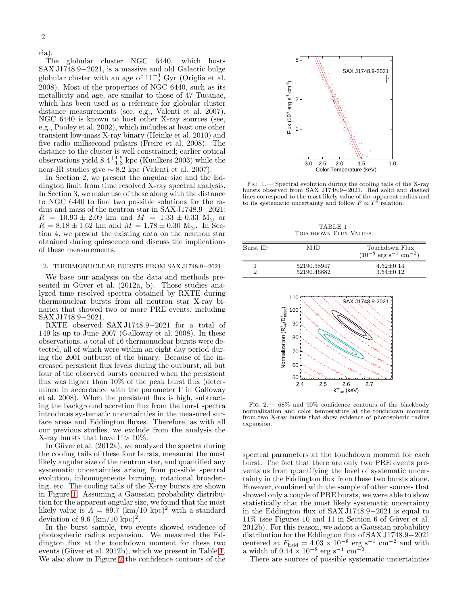ria).

The globular cluster NGC 6440, which hosts SAX J1748.9−2021, is a massive and old Galactic bulge globular cluster with an age of  $11^{+3}_{-2}$  Gyr (Origlia et al. 2008). Most of the properties of NGC 6440, such as its metallicity and age, are similar to those of 47 Tucanae, which has been used as a reference for globular cluster distance measurements (see, e.g., Valenti et al. 2007). NGC 6440 is known to host other X-ray sources (see, e.g., Pooley et al. 2002), which includes at least one other transient low-mass X-ray binary (Heinke et al. 2010) and five radio millisecond pulsars (Freire et al. 2008). The distance to the cluster is well constrained; earlier optical observations yield  $8.4^{+1.5}_{-1.3}$  kpc (Kuulkers 2003) while the near-IR studies give ∼ 8.2 kpc (Valenti et al. 2007).

In Section 2, we present the angular size and the Eddington limit from time resolved X-ray spectral analysis. In Section 3, we make use of these along with the distance to NGC 6440 to find two possible solutions for the radius and mass of the neutron star in SAX J1748.9−2021:  $R = 10.93 \pm 2.09$  km and  $M = 1.33 \pm 0.33$  M<sub>o</sub> or  $R = 8.18 \pm 1.62$  km and  $M = 1.78 \pm 0.30$  M<sub>o</sub>. In Section 4, we present the existing data on the neutron star obtained during quiescence and discuss the implications of these measurements.

### 2. THERMONUCLEAR BURSTS FROM SAX J1748.9−2021

We base our analysis on the data and methods presented in Güver et al. (2012a, b). Those studies analyzed time resolved spectra obtained by RXTE during thermonuclear bursts from all neutron star X-ray binaries that showed two or more PRE events, including SAX J1748.9−2021.

RXTE observed SAX J1748.9−2021 for a total of 149 ks up to June 2007 (Galloway et al. 2008). In these observations, a total of 16 thermonuclear bursts were detected, all of which were within an eight day period during the 2001 outburst of the binary. Because of the increased persistent flux levels during the outburst, all but four of the observed bursts occurred when the persistent flux was higher than 10% of the peak burst flux (determined in accordance with the parameter  $\Gamma$  in Galloway et al. 2008). When the persistent flux is high, subtracting the background accretion flux from the burst spectra introduces systematic uncertainties in the measured surface areas and Eddington fluxes. Therefore, as with all our previous studies, we exclude from the analysis the X-ray bursts that have  $\Gamma > 10\%$ .

In Güver et al.  $(2012a)$ , we analyzed the spectra during the cooling tails of these four bursts, measured the most likely angular size of the neutron star, and quantified any systematic uncertainties arising from possible spectral evolution, inhomogeneous burning, rotational broadening, etc. The cooling tails of the X-ray bursts are shown in Figure [1.](#page-1-0) Assuming a Gaussian probability distribution for the apparent angular size, we found that the most likely value is  $A = 89.7 \text{ (km/10 kpc)}^2$  with a standard deviation of 9.6  $(km/10 kpc)^2$ .

In the burst sample, two events showed evidence of photospheric radius expansion. We measured the Eddington flux at the touchdown moment for these two events (Güver et al. 2012b), which we present in Table [1.](#page-1-1) We also show in Figure [2](#page-1-2) the confidence contours of the



<span id="page-1-0"></span>Fig. 1.— Spectral evolution during the cooling tails of the X-ray bursts observed from SAX J1748.9−2021. Red solid and dashed lines correspond to the most likely value of the apparent radius and<br>to its systematic uncertainty and follow  $F \propto T^4$  relation.

TABLE 1 Touchdown Flux Values.

<span id="page-1-1"></span>

| Burst ID | MJD                        | Touchdown Flux<br>$(10^{-8} \text{ erg s}^{-1} \text{ cm}^{-2})$ |
|----------|----------------------------|------------------------------------------------------------------|
|          | 52190.38947<br>52190.46882 | $4.52 + 0.14$<br>$3.54 + 0.12$                                   |



<span id="page-1-2"></span>Fig. 2.— 68% and 90% confidence contours of the blackbody normalization and color temperature at the touchdown moment from two X-ray bursts that show evidence of photospheric radius expansion.

spectral parameters at the touchdown moment for each burst. The fact that there are only two PRE events prevents us from quantifying the level of systematic uncertainty in the Eddington flux from these two bursts alone. However, combined with the sample of other sources that showed only a couple of PRE bursts, we were able to show statistically that the most likely systematic uncertainty in the Eddington flux of SAX J1748.9−2021 is equal to  $11\%$  (see Figures 10 and 11 in Section 6 of Güver et al. 2012b). For this reason, we adopt a Gaussian probability distribution for the Eddington flux of SAX J1748.9−2021 centered at  $F_{\text{Edd}} = 4.03 \times 10^{-8} \text{ erg s}^{-1} \text{ cm}^{-2}$  and with a width of  $0.44 \times 10^{-8}$  erg s<sup>-1</sup> cm<sup>-2</sup>.

There are sources of possible systematic uncertainties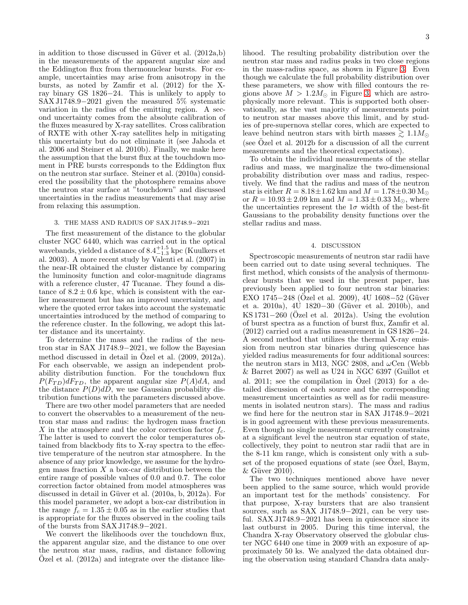in addition to those discussed in Güver et al.  $(2012a,b)$ in the measurements of the apparent angular size and the Eddington flux from thermonuclear bursts. For example, uncertainties may arise from anisotropy in the bursts, as noted by Zamfir et al. (2012) for the Xray binary GS 1826−24. This is unlikely to apply to SAX J1748.9−2021 given the measured 5% systematic variation in the radius of the emitting region. A second uncertainty comes from the absolute calibration of the fluxes measured by X-ray satellites. Cross calibration of RXTE with other X-ray satellites help in mitigating this uncertainty but do not eliminate it (see Jahoda et al. 2006 and Steiner et al. 2010b). Finally, we make here the assumption that the burst flux at the touchdown moment in PRE bursts corresponds to the Eddington flux on the neutron star surface. Steiner et al. (2010a) considered the possibility that the photosphere remains above the neutron star surface at "touchdown" and discussed uncertainties in the radius measurements that may arise from relaxing this assumption.

## 3. THE MASS AND RADIUS OF SAX J1748.9−2021

The first measurement of the distance to the globular cluster NGC 6440, which was carried out in the optical wavebands, yielded a distance of  $8.4^{+1.5}_{-1.3}$  kpc (Kuulkers et al. 2003). A more recent study by Valenti et al. (2007) in the near-IR obtained the cluster distance by comparing the luminosity function and color-magnitude diagrams with a reference cluster, 47 Tucanae. They found a distance of  $8.2 \pm 0.6$  kpc, which is consistent with the earlier measurement but has an improved uncertainty, and where the quoted error takes into account the systematic uncertainties introduced by the method of comparing to the reference cluster. In the following, we adopt this latter distance and its uncertainty.

To determine the mass and the radius of the neutron star in SAX J1748.9−2021, we follow the Bayesian method discussed in detail in Ozel et al.  $(2009, 2012a)$ . For each observable, we assign an independent probability distribution function. For the touchdown flux  $P(F_{TD})dF_{TD}$ , the apparent angular size  $P(A)dA$ , and the distance  $P(D)$ dD, we use Gaussian probability distribution functions with the parameters discussed above.

There are two other model parameters that are needed to convert the observables to a measurement of the neutron star mass and radius: the hydrogen mass fraction X in the atmosphere and the color correction factor  $f_c$ . The latter is used to convert the color temperatures obtained from blackbody fits to X-ray spectra to the effective temperature of the neutron star atmosphere. In the absence of any prior knowledge, we assume for the hydrogen mass fraction  $X$  a box-car distribution between the entire range of possible values of 0.0 and 0.7. The color correction factor obtained from model atmospheres was discussed in detail in Güver et al. (2010a, b, 2012a). For this model parameter, we adopt a box-car distribution in the range  $f_c = 1.35 \pm 0.05$  as in the earlier studies that is appropriate for the fluxes observed in the cooling tails of the bursts from SAX J1748.9−2021.

We convert the likelihoods over the touchdown flux, the apparent angular size, and the distance to one over the neutron star mass, radius, and distance following Ozel et al.  $(2012a)$  and integrate over the distance likelihood. The resulting probability distribution over the neutron star mass and radius peaks in two close regions in the mass-radius space, as shown in Figure [3.](#page-3-0) Even though we calculate the full probability distribution over these parameters, we show with filled contours the regions above  $M > 1.2 M_{\odot}$  in Figure [3,](#page-3-0) which are astrophysically more relevant. This is supported both observationally, as the vast majority of measurements point to neutron star masses above this limit, and by studies of pre-supernova stellar cores, which are expected to leave behind neutron stars with birth masses  $\gtrsim 1.1 M_{\odot}$ (see Ozel et al. 2012b for a discussion of all the current measurements and the theoretical expectations).

To obtain the individual measurements of the stellar radius and mass, we marginalize the two-dimensional probability distribution over mass and radius, respectively. We find that the radius and mass of the neutron star is either  $R = 8.18 \pm 1.62$  km and  $M = 1.78 \pm 0.30$  M<sub>o</sub> or  $R = 10.93 \pm 2.09$  km and  $M = 1.33 \pm 0.33$  M<sub>o</sub>, where the uncertainties represent the  $1\sigma$  width of the best-fit Gaussians to the probability density functions over the stellar radius and mass.

### 4. DISCUSSION

Spectroscopic measurements of neutron star radii have been carried out to date using several techniques. The first method, which consists of the analysis of thermonuclear bursts that we used in the present paper, has previously been applied to four neutron star binaries: EXO 1745 $-248$  (Özel et al. 2009), 4U 1608 $-52$  (Güver et a. 2010a), 4U 1820−30 (Güver et al. 2010b), and KS 1731 $-260$  (Özel et al. 2012a). Using the evolution of burst spectra as a function of burst flux, Zamfir et al. (2012) carried out a radius measurement in GS 1826−24. A second method that utilizes the thermal X-ray emission from neutron star binaries during quiescence has yielded radius measurements for four additional sources: the neutron stars in M13, NGC 2808, and  $\omega$ Cen (Webb & Barret 2007) as well as U24 in NGC 6397 (Guillot et al. 2011; see the compilation in Ozel  $(2013)$  for a detailed discussion of each source and the corresponding measurement uncertainties as well as for radii measurements in isolated neutron stars). The mass and radius we find here for the neutron star in SAX J1748.9−2021 is in good agreement with these previous measurements. Even though no single measurement currently constrains at a significant level the neutron star equation of state, collectively, they point to neutron star radii that are in the 8-11 km range, which is consistent only with a subset of the proposed equations of state (see  $\ddot{O}$ zel, Baym,  $&$  Güver 2010).

The two techniques mentioned above have never been applied to the same source, which would provide an important test for the methods' consistency. For that purpose, X-ray bursters that are also transient sources, such as SAX J1748.9−2021, can be very useful. SAX J1748.9−2021 has been in quiescence since its last outburst in 2005. During this time interval, the Chandra X-ray Observatory observed the globular cluster NGC 6440 one time in 2009 with an exposure of approximately 50 ks. We analyzed the data obtained during the observation using standard Chandra data analy-